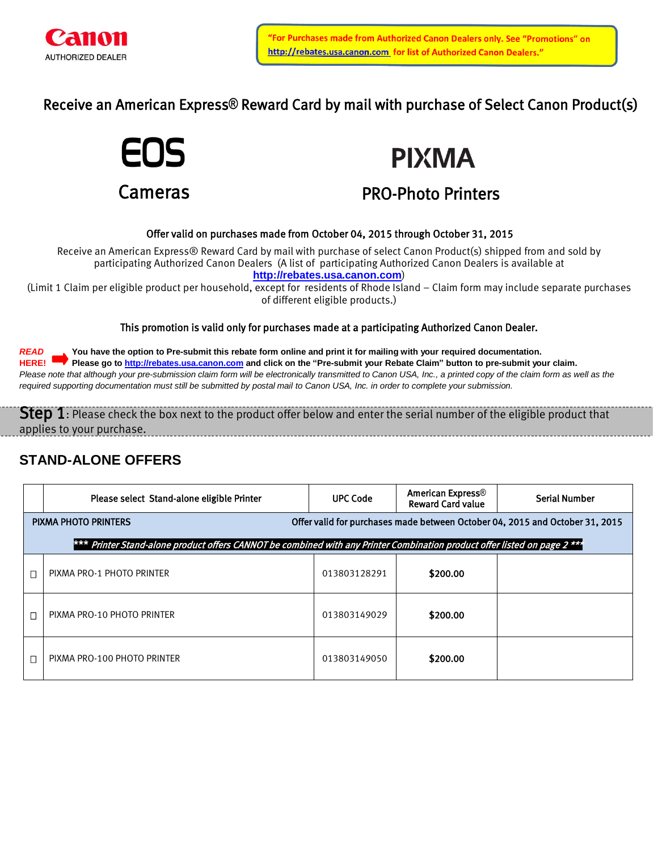

Receive an American Express**®** Reward Card by mail with purchase of Select Canon Product(s)





# PRO-Photo Printers

### Offer valid on purchases made from October 04, 2015 through October 31, 2015

Receive an American Express® Reward Card by mail with purchase of select Canon Product(s) shipped from and sold by participating Authorized Canon Dealers (A list of participating Authorized Canon Dealers is available at **[http://rebates.usa.canon.com](http://rebates.usa.canon.com/)**)

(Limit 1 Claim per eligible product per household, except for residents of Rhode Island – Claim form may include separate purchases of different eligible products.)

This promotion is valid only for purchases made at a participating Authorized Canon Dealer.

*READ* **You have the option to Pre-submit this rebate form online and print it for mailing with your required documentation. HERE! Please go to [http://rebates.usa.canon.com](http://rebates.usa.canon.com/) and click on the "Pre-submit your Rebate Claim" button to pre-submit your claim.** Please note that although your pre-submission claim form will be electronically transmitted to Canon USA, Inc., a printed copy of the claim form as well as the *required supporting documentation must still be submitted by postal mail to Canon USA, Inc. in order to complete your submission.*

Step 1: Please check the box next to the product offer below and enter the serial number of the eligible product that applies to your purchase.

### **STAND-ALONE OFFERS**

|                                                                                                                           | Please select Stand-alone eligible Printer | <b>UPC Code</b> | <b>American Express®</b><br><b>Reward Card value</b> | <b>Serial Number</b> |  |  |  |
|---------------------------------------------------------------------------------------------------------------------------|--------------------------------------------|-----------------|------------------------------------------------------|----------------------|--|--|--|
| Offer valid for purchases made between October 04, 2015 and October 31, 2015<br><b>PIXMA PHOTO PRINTERS</b>               |                                            |                 |                                                      |                      |  |  |  |
| *** Printer Stand-alone product offers CANNOT be combined with any Printer Combination product offer listed on page 2 *** |                                            |                 |                                                      |                      |  |  |  |
|                                                                                                                           | PIXMA PRO-1 PHOTO PRINTER                  | 013803128291    | \$200.00                                             |                      |  |  |  |
|                                                                                                                           | PIXMA PRO-10 PHOTO PRINTER                 | 013803149029    | \$200.00                                             |                      |  |  |  |
|                                                                                                                           | PIXMA PRO-100 PHOTO PRINTER                | 013803149050    | \$200.00                                             |                      |  |  |  |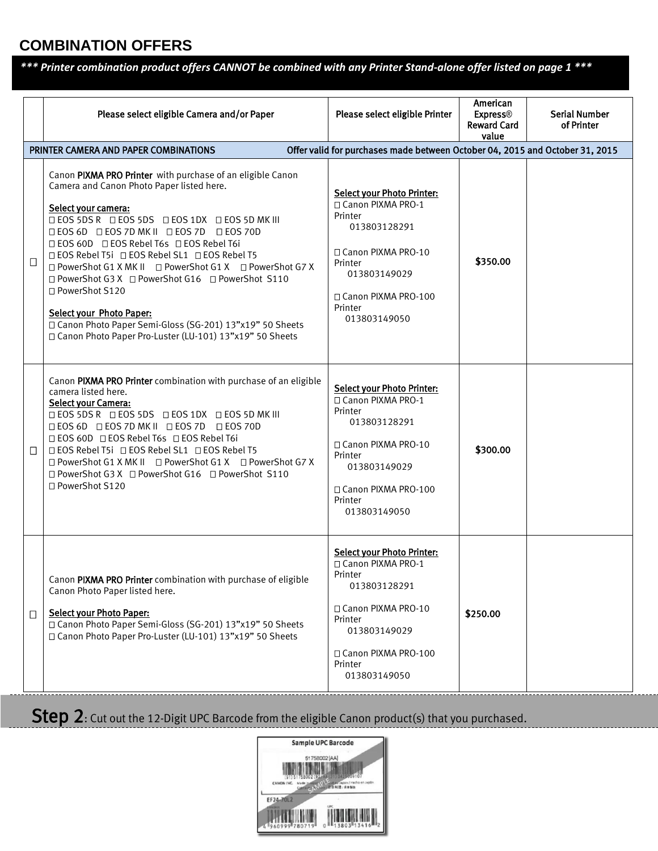## **COMBINATION OFFERS**

*\*\*\* Printer combination product offers CANNOT be combined with any Printer Stand-alone offer listed on page 1 \*\*\**

|        | Please select eligible Camera and/or Paper<br>PRINTER CAMERA AND PAPER COMBINATIONS                                                                                                                                                                                                                                                                                                                                                                                                               | Please select eligible Printer<br>Offer valid for purchases made between October 04, 2015 and October 31, 2015                                                                             | American<br><b>Express®</b><br><b>Reward Card</b><br>value | <b>Serial Number</b><br>of Printer |
|--------|---------------------------------------------------------------------------------------------------------------------------------------------------------------------------------------------------------------------------------------------------------------------------------------------------------------------------------------------------------------------------------------------------------------------------------------------------------------------------------------------------|--------------------------------------------------------------------------------------------------------------------------------------------------------------------------------------------|------------------------------------------------------------|------------------------------------|
|        | Canon PIXMA PRO Printer with purchase of an eligible Canon<br>Camera and Canon Photo Paper listed here.<br>Select your camera:                                                                                                                                                                                                                                                                                                                                                                    | <b>Select your Photo Printer:</b><br>□ Canon PIXMA PRO-1                                                                                                                                   |                                                            |                                    |
| $\Box$ | □ EOS 5DS R □ EOS 5DS □ EOS 1DX □ EOS 5D MK III<br><b>QEOS 6D QEOS 7D MK II QEOS 7D QEOS 70D</b><br>□ EOS 60D □ EOS Rebel T6s □ EOS Rebel T6i<br>□ EOS Rebel T5i □ EOS Rebel SL1 □ EOS Rebel T5<br>□ PowerShot G1 X MK II □ PowerShot G1 X □ PowerShot G7 X<br>□ PowerShot G3 X □ PowerShot G16 □ PowerShot S110<br>□ PowerShot S120<br><b>Select your Photo Paper:</b><br>□ Canon Photo Paper Semi-Gloss (SG-201) 13"x19" 50 Sheets<br>□ Canon Photo Paper Pro-Luster (LU-101) 13"x19" 50 Sheets | Printer<br>013803128291<br>□ Canon PIXMA PRO-10<br>Printer<br>013803149029<br>□ Canon PIXMA PRO-100<br>Printer<br>013803149050                                                             | \$350.00                                                   |                                    |
| П      | Canon PIXMA PRO Printer combination with purchase of an eligible<br>camera listed here.<br>Select your Camera:<br><b>□ EOS 5DS R □ EOS 5DS □ EOS 1DX □ EOS 5D MK III</b><br><b>DEOS 6D DEOS 7D MK II DEOS 7D DEOS 70D</b><br>□ EOS 60D □ EOS Rebel T6s □ EOS Rebel T6i<br>□ EOS Rebel T5i □ EOS Rebel SL1 □ EOS Rebel T5<br>□ PowerShot G1 X MK II □ PowerShot G1 X □ PowerShot G7 X<br>□ PowerShot G3 X □ PowerShot G16 □ PowerShot S110<br>□ PowerShot S120                                     | <b>Select your Photo Printer:</b><br>□ Canon PIXMA PRO-1<br>Printer<br>013803128291<br>□ Canon PIXMA PRO-10<br>Printer<br>013803149029<br>□ Canon PIXMA PRO-100<br>Printer<br>013803149050 | \$300.00                                                   |                                    |
| $\Box$ | Canon PIXMA PRO Printer combination with purchase of eligible<br>Canon Photo Paper listed here.<br><b>Select your Photo Paper:</b><br>□ Canon Photo Paper Semi-Gloss (SG-201) 13"x19" 50 Sheets<br>□ Canon Photo Paper Pro-Luster (LU-101) 13"x19" 50 Sheets                                                                                                                                                                                                                                      | <b>Select your Photo Printer:</b><br>□ Canon PIXMA PRO-1<br>Printer<br>013803128291<br>□ Canon PIXMA PRO-10<br>Printer<br>013803149029<br>□ Canon PIXMA PRO-100<br>Printer<br>013803149050 | \$250.00                                                   |                                    |